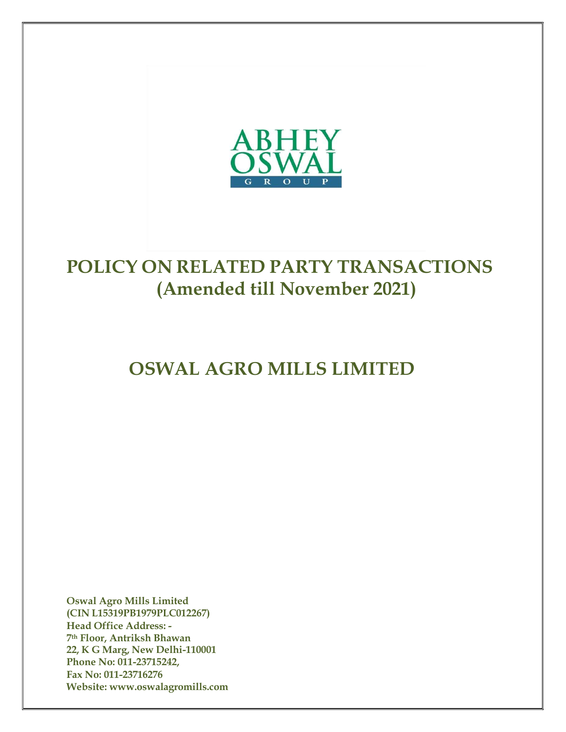

# POLICY ON RELATED PARTY TRANSACTIONS (Amended till November 2021)

# OSWAL AGRO MILLS LIMITED

Oswal Agro Mills Limited (CIN L15319PB1979PLC012267) Head Office Address: - 7th Floor, Antriksh Bhawan 22, K G Marg, New Delhi-110001 Phone No: 011-23715242, Fax No: 011-23716276 Website: www.oswalagromills.com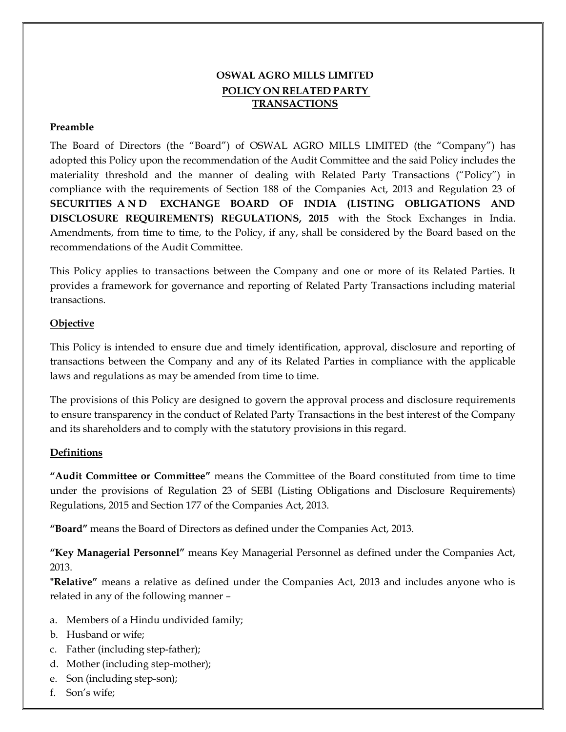# OSWAL AGRO MILLS LIMITED POLICY ON RELATED PARTY TRANSACTIONS

# Preamble

The Board of Directors (the "Board") of OSWAL AGRO MILLS LIMITED (the "Company") has adopted this Policy upon the recommendation of the Audit Committee and the said Policy includes the materiality threshold and the manner of dealing with Related Party Transactions ("Policy") in compliance with the requirements of Section 188 of the Companies Act, 2013 and Regulation 23 of SECURITIES A N D EXCHANGE BOARD OF INDIA (LISTING OBLIGATIONS AND DISCLOSURE REQUIREMENTS) REGULATIONS, 2015 with the Stock Exchanges in India. Amendments, from time to time, to the Policy, if any, shall be considered by the Board based on the recommendations of the Audit Committee.

This Policy applies to transactions between the Company and one or more of its Related Parties. It provides a framework for governance and reporting of Related Party Transactions including material transactions.

# **Objective**

This Policy is intended to ensure due and timely identification, approval, disclosure and reporting of transactions between the Company and any of its Related Parties in compliance with the applicable laws and regulations as may be amended from time to time.

The provisions of this Policy are designed to govern the approval process and disclosure requirements to ensure transparency in the conduct of Related Party Transactions in the best interest of the Company and its shareholders and to comply with the statutory provisions in this regard.

# **Definitions**

"Audit Committee or Committee" means the Committee of the Board constituted from time to time under the provisions of Regulation 23 of SEBI (Listing Obligations and Disclosure Requirements) Regulations, 2015 and Section 177 of the Companies Act, 2013.

"Board" means the Board of Directors as defined under the Companies Act, 2013.

"Key Managerial Personnel" means Key Managerial Personnel as defined under the Companies Act, 2013.

"Relative" means a relative as defined under the Companies Act, 2013 and includes anyone who is related in any of the following manner –

- a. Members of a Hindu undivided family;
- b. Husband or wife;
- c. Father (including step-father);
- d. Mother (including step-mother);
- e. Son (including step-son);
- f. Son's wife;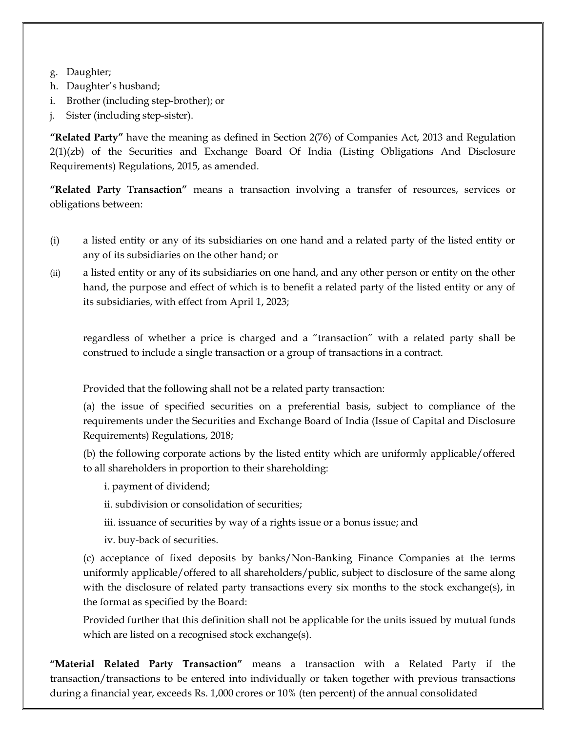- g. Daughter;
- h. Daughter's husband;
- i. Brother (including step-brother); or
- j. Sister (including step-sister).

"Related Party" have the meaning as defined in Section 2(76) of Companies Act, 2013 and Regulation 2(1)(zb) of the Securities and Exchange Board Of India (Listing Obligations And Disclosure Requirements) Regulations, 2015, as amended.

"Related Party Transaction" means a transaction involving a transfer of resources, services or obligations between:

- (i) a listed entity or any of its subsidiaries on one hand and a related party of the listed entity or any of its subsidiaries on the other hand; or
- (ii) a listed entity or any of its subsidiaries on one hand, and any other person or entity on the other hand, the purpose and effect of which is to benefit a related party of the listed entity or any of its subsidiaries, with effect from April 1, 2023;

regardless of whether a price is charged and a "transaction" with a related party shall be construed to include a single transaction or a group of transactions in a contract.

Provided that the following shall not be a related party transaction:

(a) the issue of specified securities on a preferential basis, subject to compliance of the requirements under the Securities and Exchange Board of India (Issue of Capital and Disclosure Requirements) Regulations, 2018;

(b) the following corporate actions by the listed entity which are uniformly applicable/offered to all shareholders in proportion to their shareholding:

- i. payment of dividend;
- ii. subdivision or consolidation of securities;
- iii. issuance of securities by way of a rights issue or a bonus issue; and
- iv. buy-back of securities.

(c) acceptance of fixed deposits by banks/Non-Banking Finance Companies at the terms uniformly applicable/offered to all shareholders/public, subject to disclosure of the same along with the disclosure of related party transactions every six months to the stock exchange(s), in the format as specified by the Board:

Provided further that this definition shall not be applicable for the units issued by mutual funds which are listed on a recognised stock exchange(s).

"Material Related Party Transaction" means a transaction with a Related Party if the transaction/transactions to be entered into individually or taken together with previous transactions during a financial year, exceeds Rs. 1,000 crores or 10% (ten percent) of the annual consolidated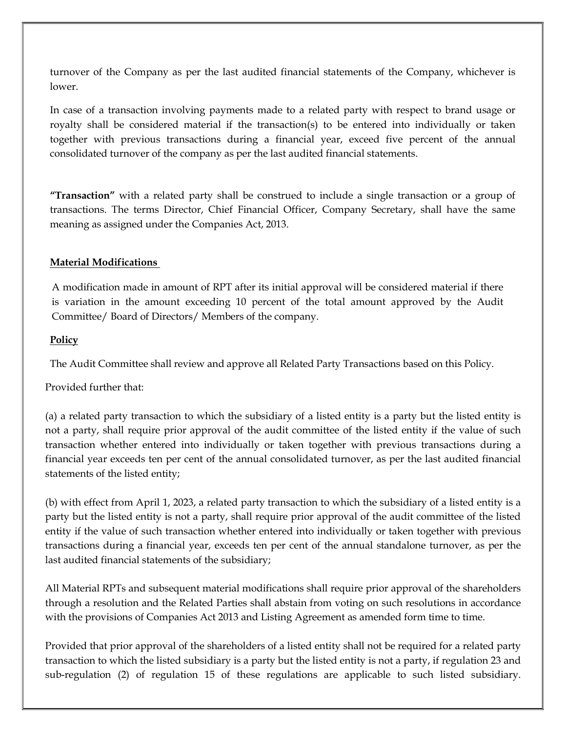turnover of the Company as per the last audited financial statements of the Company, whichever is lower.

In case of a transaction involving payments made to a related party with respect to brand usage or royalty shall be considered material if the transaction(s) to be entered into individually or taken together with previous transactions during a financial year, exceed five percent of the annual consolidated turnover of the company as per the last audited financial statements.

"Transaction" with a related party shall be construed to include a single transaction or a group of transactions. The terms Director, Chief Financial Officer, Company Secretary, shall have the same meaning as assigned under the Companies Act, 2013.

#### Material Modifications

A modification made in amount of RPT after its initial approval will be considered material if there is variation in the amount exceeding 10 percent of the total amount approved by the Audit Committee/ Board of Directors/ Members of the company.

#### **Policy**

The Audit Committee shall review and approve all Related Party Transactions based on this Policy.

Provided further that:

(a) a related party transaction to which the subsidiary of a listed entity is a party but the listed entity is not a party, shall require prior approval of the audit committee of the listed entity if the value of such transaction whether entered into individually or taken together with previous transactions during a financial year exceeds ten per cent of the annual consolidated turnover, as per the last audited financial statements of the listed entity;

(b) with effect from April 1, 2023, a related party transaction to which the subsidiary of a listed entity is a party but the listed entity is not a party, shall require prior approval of the audit committee of the listed entity if the value of such transaction whether entered into individually or taken together with previous transactions during a financial year, exceeds ten per cent of the annual standalone turnover, as per the last audited financial statements of the subsidiary;

All Material RPTs and subsequent material modifications shall require prior approval of the shareholders through a resolution and the Related Parties shall abstain from voting on such resolutions in accordance with the provisions of Companies Act 2013 and Listing Agreement as amended form time to time.

Provided that prior approval of the shareholders of a listed entity shall not be required for a related party transaction to which the listed subsidiary is a party but the listed entity is not a party, if regulation 23 and sub-regulation (2) of regulation 15 of these regulations are applicable to such listed subsidiary.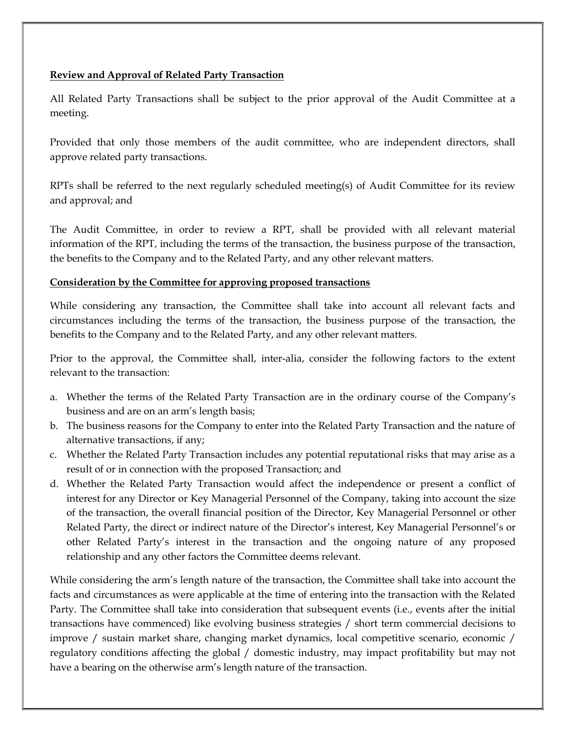#### Review and Approval of Related Party Transaction

All Related Party Transactions shall be subject to the prior approval of the Audit Committee at a meeting.

Provided that only those members of the audit committee, who are independent directors, shall approve related party transactions.

RPTs shall be referred to the next regularly scheduled meeting(s) of Audit Committee for its review and approval; and

The Audit Committee, in order to review a RPT, shall be provided with all relevant material information of the RPT, including the terms of the transaction, the business purpose of the transaction, the benefits to the Company and to the Related Party, and any other relevant matters.

#### Consideration by the Committee for approving proposed transactions

While considering any transaction, the Committee shall take into account all relevant facts and circumstances including the terms of the transaction, the business purpose of the transaction, the benefits to the Company and to the Related Party, and any other relevant matters.

Prior to the approval, the Committee shall, inter-alia, consider the following factors to the extent relevant to the transaction:

- a. Whether the terms of the Related Party Transaction are in the ordinary course of the Company's business and are on an arm's length basis;
- b. The business reasons for the Company to enter into the Related Party Transaction and the nature of alternative transactions, if any;
- c. Whether the Related Party Transaction includes any potential reputational risks that may arise as a result of or in connection with the proposed Transaction; and
- d. Whether the Related Party Transaction would affect the independence or present a conflict of interest for any Director or Key Managerial Personnel of the Company, taking into account the size of the transaction, the overall financial position of the Director, Key Managerial Personnel or other Related Party, the direct or indirect nature of the Director's interest, Key Managerial Personnel's or other Related Party's interest in the transaction and the ongoing nature of any proposed relationship and any other factors the Committee deems relevant.

While considering the arm's length nature of the transaction, the Committee shall take into account the facts and circumstances as were applicable at the time of entering into the transaction with the Related Party. The Committee shall take into consideration that subsequent events (i.e., events after the initial transactions have commenced) like evolving business strategies / short term commercial decisions to improve / sustain market share, changing market dynamics, local competitive scenario, economic / regulatory conditions affecting the global / domestic industry, may impact profitability but may not have a bearing on the otherwise arm's length nature of the transaction.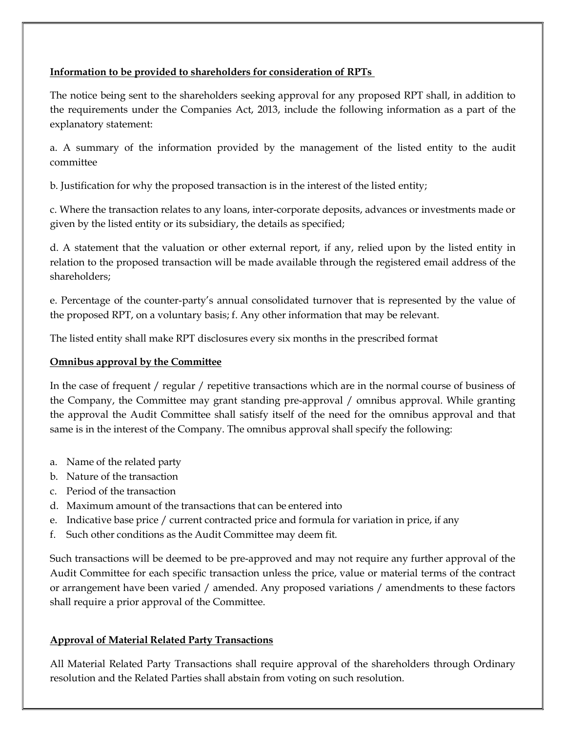# Information to be provided to shareholders for consideration of RPTs

The notice being sent to the shareholders seeking approval for any proposed RPT shall, in addition to the requirements under the Companies Act, 2013, include the following information as a part of the explanatory statement:

a. A summary of the information provided by the management of the listed entity to the audit committee

b. Justification for why the proposed transaction is in the interest of the listed entity;

c. Where the transaction relates to any loans, inter-corporate deposits, advances or investments made or given by the listed entity or its subsidiary, the details as specified;

d. A statement that the valuation or other external report, if any, relied upon by the listed entity in relation to the proposed transaction will be made available through the registered email address of the shareholders;

e. Percentage of the counter-party's annual consolidated turnover that is represented by the value of the proposed RPT, on a voluntary basis; f. Any other information that may be relevant.

The listed entity shall make RPT disclosures every six months in the prescribed format

# Omnibus approval by the Committee

In the case of frequent / regular / repetitive transactions which are in the normal course of business of the Company, the Committee may grant standing pre-approval / omnibus approval. While granting the approval the Audit Committee shall satisfy itself of the need for the omnibus approval and that same is in the interest of the Company. The omnibus approval shall specify the following:

- a. Name of the related party
- b. Nature of the transaction
- c. Period of the transaction
- d. Maximum amount of the transactions that can be entered into
- e. Indicative base price / current contracted price and formula for variation in price, if any
- f. Such other conditions as the Audit Committee may deem fit.

Such transactions will be deemed to be pre-approved and may not require any further approval of the Audit Committee for each specific transaction unless the price, value or material terms of the contract or arrangement have been varied / amended. Any proposed variations / amendments to these factors shall require a prior approval of the Committee.

# Approval of Material Related Party Transactions

All Material Related Party Transactions shall require approval of the shareholders through Ordinary resolution and the Related Parties shall abstain from voting on such resolution.